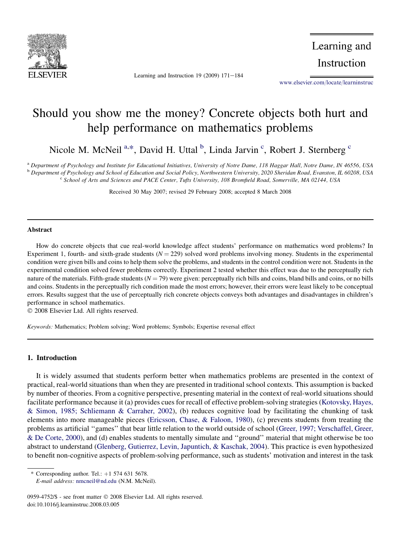

Learning and Instruction 19 (2009)  $171-184$ 

Learning and Instruction

[www.elsevier.com/locate/learninstruc](http://www.elsevier.com/locate/learninstruc)

# Should you show me the money? Concrete objects both hurt and help performance on mathematics problems

Nicole M. McNeil<sup>a,\*</sup>, David H. Uttal <sup>b</sup>, Linda Jarvin <sup>c</sup>, Robert J. Sternberg <sup>c</sup>

<sup>a</sup> Department of Psychology and Institute for Educational Initiatives, University of Notre Dame, 118 Haggar Hall, Notre Dame, IN 46556, USA <sup>b</sup> Department of Psychology and School of Education and Social Policy, Northwestern University, 2020 Sheridan Road, Evanston, IL 60208, USA<br><sup>c</sup> School of Arts and Sciences and PACE Center, Tufts University, 108 Bromfield

Received 30 May 2007; revised 29 February 2008; accepted 8 March 2008

#### Abstract

How do concrete objects that cue real-world knowledge affect students' performance on mathematics word problems? In Experiment 1, fourth- and sixth-grade students  $(N = 229)$  solved word problems involving money. Students in the experimental condition were given bills and coins to help them solve the problems, and students in the control condition were not. Students in the experimental condition solved fewer problems correctly. Experiment 2 tested whether this effect was due to the perceptually rich nature of the materials. Fifth-grade students  $(N = 79)$  were given: perceptually rich bills and coins, bland bills and coins, or no bills and coins. Students in the perceptually rich condition made the most errors; however, their errors were least likely to be conceptual errors. Results suggest that the use of perceptually rich concrete objects conveys both advantages and disadvantages in children's performance in school mathematics.

© 2008 Elsevier Ltd. All rights reserved.

Keywords: Mathematics; Problem solving; Word problems; Symbols; Expertise reversal effect

# 1. Introduction

It is widely assumed that students perform better when mathematics problems are presented in the context of practical, real-world situations than when they are presented in traditional school contexts. This assumption is backed by number of theories. From a cognitive perspective, presenting material in the context of real-world situations should facilitate performance because it (a) provides cues for recall of effective problem-solving strategies ([Kotovsky, Hayes,](#page-12-0) [& Simon, 1985; Schliemann & Carraher, 2002\)](#page-12-0), (b) reduces cognitive load by facilitating the chunking of task elements into more manageable pieces ([Ericsson, Chase, & Faloon, 1980](#page-12-0)), (c) prevents students from treating the problems as artificial ''games'' that bear little relation to the world outside of school ([Greer, 1997; Verschaffel, Greer,](#page-13-0) [& De Corte, 2000](#page-13-0)), and (d) enables students to mentally simulate and ''ground'' material that might otherwise be too abstract to understand ([Glenberg, Gutierrez, Levin, Japuntich, & Kaschak, 2004\)](#page-12-0). This practice is even hypothesized to benefit non-cognitive aspects of problem-solving performance, such as students' motivation and interest in the task

\* Corresponding author. Tel.:  $+1$  574 631 5678.

E-mail address: [nmcneil@nd.edu](mailto:nmcneil@nd.edu) (N.M. McNeil).

<sup>0959-4752/\$ -</sup> see front matter © 2008 Elsevier Ltd. All rights reserved. doi:10.1016/j.learninstruc.2008.03.005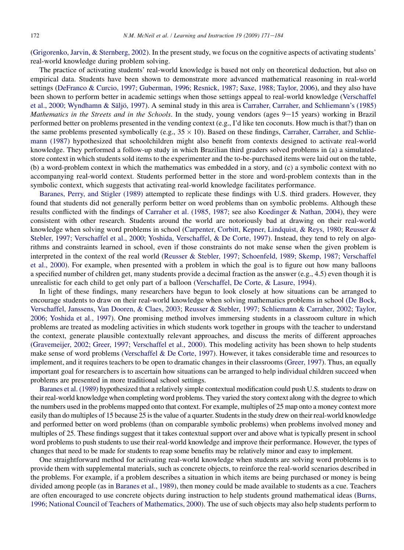[\(Grigorenko, Jarvin, & Sternberg, 2002](#page-12-0)). In the present study, we focus on the cognitive aspects of activating students' real-world knowledge during problem solving.

The practice of activating students' real-world knowledge is based not only on theoretical deduction, but also on empirical data. Students have been shown to demonstrate more advanced mathematical reasoning in real-world settings ([DeFranco & Curcio, 1997; Guberman, 1996; Resnick, 1987; Saxe, 1988; Taylor, 2006](#page-12-0)), and they also have been shown to perform better in academic settings when those settings appeal to real-world knowledge ([Verschaffel](#page-13-0) et al., 2000; Wyndhamn & Säljö, 1997). A seminal study in this area is [Carraher, Carraher, and Schliemann's \(1985\)](#page-12-0) Mathematics in the Streets and in the Schools. In the study, young vendors (ages 9-15 years) working in Brazil performed better on problems presented in the vending context (e.g., I'd like ten coconuts. How much is that?) than on the same problems presented symbolically (e.g.,  $35 \times 10$ ). Based on these findings, [Carraher, Carraher, and Schlie](#page-12-0)[mann \(1987\)](#page-12-0) hypothesized that schoolchildren might also benefit from contexts designed to activate real-world knowledge. They performed a follow-up study in which Brazilian third graders solved problems in (a) a simulatedstore context in which students sold items to the experimenter and the to-be-purchased items were laid out on the table, (b) a word-problem context in which the mathematics was embedded in a story, and (c) a symbolic context with no accompanying real-world context. Students performed better in the store and word-problem contexts than in the symbolic context, which suggests that activating real-world knowledge facilitates performance.

[Baranes, Perry, and Stigler \(1989\)](#page-11-0) attempted to replicate these findings with U.S. third graders. However, they found that students did not generally perform better on word problems than on symbolic problems. Although these results conflicted with the findings of [Carraher et al. \(1985, 1987;](#page-12-0) see also [Koedinger & Nathan, 2004\)](#page-12-0), they were consistent with other research. Students around the world are notoriously bad at drawing on their real-world knowledge when solving word problems in school [\(Carpenter, Corbitt, Kepner, Lindquist, & Reys, 1980; Reusser &](#page-12-0) [Stebler, 1997; Verschaffel et al., 2000; Yoshida, Verschaffel, & De Corte, 1997](#page-12-0)). Instead, they tend to rely on algorithms and constraints learned in school, even if those constraints do not make sense when the given problem is interpreted in the context of the real world [\(Reusser & Stebler, 1997; Schoenfeld, 1989; Skemp, 1987; Verschaffel](#page-12-0) [et al., 2000\)](#page-12-0). For example, when presented with a problem in which the goal is to figure out how many balloons a specified number of children get, many students provide a decimal fraction as the answer (e.g., 4.5) even though it is unrealistic for each child to get only part of a balloon [\(Verschaffel, De Corte, & Lasure, 1994\)](#page-13-0).

In light of these findings, many researchers have begun to look closely at how situations can be arranged to encourage students to draw on their real-world knowledge when solving mathematics problems in school ([De Bock,](#page-12-0) [Verschaffel, Janssens, Van Dooren, & Claes, 2003; Reusser & Stebler, 1997; Schliemann & Carraher, 2002; Taylor,](#page-12-0) [2006; Yoshida et al., 1997\)](#page-12-0). One promising method involves immersing students in a classroom culture in which problems are treated as modeling activities in which students work together in groups with the teacher to understand the context, generate plausible contextually relevant approaches, and discuss the merits of different approaches [\(Gravemeijer, 2002; Greer, 1997; Verschaffel et al., 2000](#page-12-0)). This modeling activity has been shown to help students make sense of word problems [\(Verschaffel & De Corte, 1997](#page-13-0)). However, it takes considerable time and resources to implement, and it requires teachers to be open to dramatic changes in their classrooms ([Greer, 1997\)](#page-12-0). Thus, an equally important goal for researchers is to ascertain how situations can be arranged to help individual children succeed when problems are presented in more traditional school settings.

[Baranes et al. \(1989\)](#page-11-0) hypothesized that a relatively simple contextual modification could push U.S. students to draw on their real-world knowledge when completing word problems. They varied the story context along with the degree to which the numbers used in the problems mapped onto that context. For example, multiples of 25 map onto a money context more easily than do multiples of 15 because 25 is the value of a quarter. Students in the study drew on their real-world knowledge and performed better on word problems (than on comparable symbolic problems) when problems involved money and multiples of 25. These findings suggest that it takes contextual support over and above what is typically present in school word problems to push students to use their real-world knowledge and improve their performance. However, the types of changes that need to be made for students to reap some benefits may be relatively minor and easy to implement.

One straightforward method for activating real-world knowledge when students are solving word problems is to provide them with supplemental materials, such as concrete objects, to reinforce the real-world scenarios described in the problems. For example, if a problem describes a situation in which items are being purchased or money is being divided among people (as in [Baranes et al., 1989\)](#page-11-0), then money could be made available to students as a cue. Teachers are often encouraged to use concrete objects during instruction to help students ground mathematical ideas [\(Burns,](#page-11-0) [1996; National Council of Teachers of Mathematics, 2000](#page-11-0)). The use of such objects may also help students perform to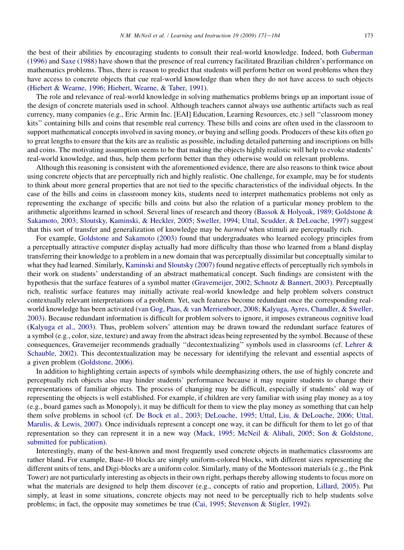the best of their abilities by encouraging students to consult their real-world knowledge. Indeed, both [Guberman](#page-12-0) [\(1996\)](#page-12-0) and [Saxe \(1988\)](#page-13-0) have shown that the presence of real currency facilitated Brazilian children's performance on mathematics problems. Thus, there is reason to predict that students will perform better on word problems when they have access to concrete objects that cue real-world knowledge than when they do not have access to such objects [\(Hiebert & Wearne, 1996; Hiebert, Wearne, & Taber, 1991](#page-12-0)).

The role and relevance of real-world knowledge in solving mathematics problems brings up an important issue of the design of concrete materials used in school. Although teachers cannot always use authentic artifacts such as real currency, many companies (e.g., Eric Armin Inc. [EAI] Education, Learning Resources, etc.) sell ''classroom money kits'' containing bills and coins that resemble real currency. These bills and coins are often used in the classroom to support mathematical concepts involved in saving money, or buying and selling goods. Producers of these kits often go to great lengths to ensure that the kits are as realistic as possible, including detailed patterning and inscriptions on bills and coins. The motivating assumption seems to be that making the objects highly realistic will help to evoke students' real-world knowledge, and thus, help them perform better than they otherwise would on relevant problems.

Although this reasoning is consistent with the aforementioned evidence, there are also reasons to think twice about using concrete objects that are perceptually rich and highly realistic. One challenge, for example, may be for students to think about more general properties that are not tied to the specific characteristics of the individual objects. In the case of the bills and coins in classroom money kits, students need to interpret mathematics problems not only as representing the exchange of specific bills and coins but also the relation of a particular money problem to the arithmetic algorithms learned in school. Several lines of research and theory [\(Bassok & Holyoak, 1989; Goldstone &](#page-11-0) [Sakamoto, 2003; Sloutsky, Kaminski, & Heckler, 2005; Sweller, 1994;](#page-11-0) [Uttal, Scudder, & DeLoache, 1997\)](#page-13-0) suggest that this sort of transfer and generalization of knowledge may be harmed when stimuli are perceptually rich.

For example, [Goldstone and Sakamoto \(2003\)](#page-12-0) found that undergraduates who learned ecology principles from a perceptually attractive computer display actually had more difficulty than those who learned from a bland display transferring their knowledge to a problem in a new domain that was perceptually dissimilar but conceptually similar to what they had learned. Similarly, [Kaminski and Sloutsky \(2007\)](#page-12-0) found negative effects of perceptually rich symbols in their work on students' understanding of an abstract mathematical concept. Such findings are consistent with the hypothesis that the surface features of a symbol matter [\(Gravemeijer, 2002; Schnotz & Bannert, 2003\)](#page-12-0). Perceptually rich, realistic surface features may initially activate real-world knowledge and help problem solvers construct contextually relevant interpretations of a problem. Yet, such features become redundant once the corresponding realworld knowledge has been activated [\(van Gog, Paas, & van Merrienboer, 2008; Kalyuga, Ayres, Chandler, & Sweller,](#page-12-0) [2003\)](#page-12-0). Because redundant information is difficult for problem solvers to ignore, it imposes extraneous cognitive load [\(Kalyuga et al., 2003\)](#page-12-0). Thus, problem solvers' attention may be drawn toward the redundant surface features of a symbol (e.g., color, size, texture) and away from the abstract ideas being represented by the symbol. Because of these consequences, Gravemeijer recommends gradually ''decontextualizing'' symbols used in classrooms (cf. [Lehrer &](#page-12-0) [Schauble, 2002\)](#page-12-0). This decontextualization may be necessary for identifying the relevant and essential aspects of a given problem ([Goldstone, 2006](#page-12-0)).

In addition to highlighting certain aspects of symbols while deemphasizing others, the use of highly concrete and perceptually rich objects also may hinder students' performance because it may require students to change their representations of familiar objects. The process of changing may be difficult, especially if students' old way of representing the objects is well established. For example, if children are very familiar with using play money as a toy (e.g., board games such as Monopoly), it may be difficult for them to view the play money as something that can help them solve problems in school (cf. [De Bock et al., 2003; DeLoache, 1995; Uttal, Liu, & DeLoache, 2006; Uttal,](#page-12-0) [Marulis, & Lewis, 2007](#page-12-0)). Once individuals represent a concept one way, it can be difficult for them to let go of that representation so they can represent it in a new way ([Mack, 1995; McNeil & Alibali, 2005; Son & Goldstone,](#page-12-0) [submitted for publication\)](#page-12-0).

Interestingly, many of the best-known and most frequently used concrete objects in mathematics classrooms are rather bland. For example, Base-10 blocks are simply uniform-colored blocks, with different sizes representing the different units of tens, and Digi-blocks are a uniform color. Similarly, many of the Montessori materials (e.g., the Pink Tower) are not particularly interesting as objects in their own right, perhaps thereby allowing students to focus more on what the materials are designed to help them discover (e.g., concepts of ratio and proportion, [Lillard, 2005](#page-12-0)). Put simply, at least in some situations, concrete objects may not need to be perceptually rich to help students solve problems; in fact, the opposite may sometimes be true ([Cai, 1995; Stevenson & Stigler, 1992\)](#page-12-0).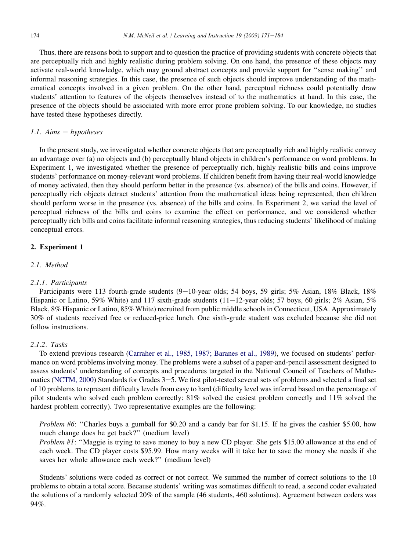Thus, there are reasons both to support and to question the practice of providing students with concrete objects that are perceptually rich and highly realistic during problem solving. On one hand, the presence of these objects may activate real-world knowledge, which may ground abstract concepts and provide support for ''sense making'' and informal reasoning strategies. In this case, the presence of such objects should improve understanding of the mathematical concepts involved in a given problem. On the other hand, perceptual richness could potentially draw students' attention to features of the objects themselves instead of to the mathematics at hand. In this case, the presence of the objects should be associated with more error prone problem solving. To our knowledge, no studies have tested these hypotheses directly.

# 1.1. Aims  $-$  hypotheses

In the present study, we investigated whether concrete objects that are perceptually rich and highly realistic convey an advantage over (a) no objects and (b) perceptually bland objects in children's performance on word problems. In Experiment 1, we investigated whether the presence of perceptually rich, highly realistic bills and coins improve students' performance on money-relevant word problems. If children benefit from having their real-world knowledge of money activated, then they should perform better in the presence (vs. absence) of the bills and coins. However, if perceptually rich objects detract students' attention from the mathematical ideas being represented, then children should perform worse in the presence (vs. absence) of the bills and coins. In Experiment 2, we varied the level of perceptual richness of the bills and coins to examine the effect on performance, and we considered whether perceptually rich bills and coins facilitate informal reasoning strategies, thus reducing students' likelihood of making conceptual errors.

# 2. Experiment 1

# 2.1. Method

### 2.1.1. Participants

Participants were 113 fourth-grade students  $(9-10)$ -year olds; 54 boys, 59 girls; 5% Asian, 18% Black, 18% Hispanic or Latino, 59% White) and 117 sixth-grade students  $(11-12)$ -year olds; 57 boys, 60 girls; 2% Asian, 5% Black, 8% Hispanic or Latino, 85% White) recruited from public middle schools in Connecticut, USA. Approximately 30% of students received free or reduced-price lunch. One sixth-grade student was excluded because she did not follow instructions.

#### 2.1.2. Tasks

To extend previous research [\(Carraher et al., 1985, 1987; Baranes et al., 1989\)](#page-12-0), we focused on students' performance on word problems involving money. The problems were a subset of a paper-and-pencil assessment designed to assess students' understanding of concepts and procedures targeted in the National Council of Teachers of Mathe-matics ([NCTM, 2000](#page-12-0)) Standards for Grades 3-5. We first pilot-tested several sets of problems and selected a final set of 10 problems to represent difficulty levels from easy to hard (difficulty level was inferred based on the percentage of pilot students who solved each problem correctly: 81% solved the easiest problem correctly and 11% solved the hardest problem correctly). Two representative examples are the following:

Problem #6: "Charles buys a gumball for \$0.20 and a candy bar for \$1.15. If he gives the cashier \$5.00, how much change does he get back?'' (medium level)

Problem #1: ''Maggie is trying to save money to buy a new CD player. She gets \$15.00 allowance at the end of each week. The CD player costs \$95.99. How many weeks will it take her to save the money she needs if she saves her whole allowance each week?'' (medium level)

Students' solutions were coded as correct or not correct. We summed the number of correct solutions to the 10 problems to obtain a total score. Because students' writing was sometimes difficult to read, a second coder evaluated the solutions of a randomly selected 20% of the sample (46 students, 460 solutions). Agreement between coders was 94%.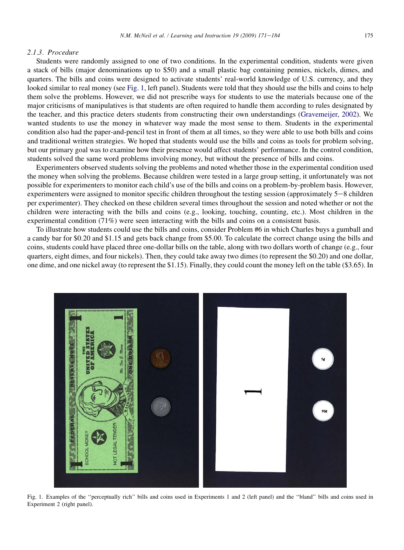#### <span id="page-4-0"></span>2.1.3. Procedure

Students were randomly assigned to one of two conditions. In the experimental condition, students were given a stack of bills (major denominations up to \$50) and a small plastic bag containing pennies, nickels, dimes, and quarters. The bills and coins were designed to activate students' real-world knowledge of U.S. currency, and they looked similar to real money (see Fig. 1, left panel). Students were told that they should use the bills and coins to help them solve the problems. However, we did not prescribe ways for students to use the materials because one of the major criticisms of manipulatives is that students are often required to handle them according to rules designated by the teacher, and this practice deters students from constructing their own understandings [\(Gravemeijer, 2002\)](#page-12-0). We wanted students to use the money in whatever way made the most sense to them. Students in the experimental condition also had the paper-and-pencil test in front of them at all times, so they were able to use both bills and coins and traditional written strategies. We hoped that students would use the bills and coins as tools for problem solving, but our primary goal was to examine how their presence would affect students' performance. In the control condition, students solved the same word problems involving money, but without the presence of bills and coins.

Experimenters observed students solving the problems and noted whether those in the experimental condition used the money when solving the problems. Because children were tested in a large group setting, it unfortunately was not possible for experimenters to monitor each child's use of the bills and coins on a problem-by-problem basis. However, experimenters were assigned to monitor specific children throughout the testing session (approximately  $5-8$  children per experimenter). They checked on these children several times throughout the session and noted whether or not the children were interacting with the bills and coins (e.g., looking, touching, counting, etc.). Most children in the experimental condition (71%) were seen interacting with the bills and coins on a consistent basis.

To illustrate how students could use the bills and coins, consider Problem #6 in which Charles buys a gumball and a candy bar for \$0.20 and \$1.15 and gets back change from \$5.00. To calculate the correct change using the bills and coins, students could have placed three one-dollar bills on the table, along with two dollars worth of change (e.g., four quarters, eight dimes, and four nickels). Then, they could take away two dimes (to represent the \$0.20) and one dollar, one dime, and one nickel away (to represent the \$1.15). Finally, they could count the money left on the table (\$3.65). In



Fig. 1. Examples of the ''perceptually rich'' bills and coins used in Experiments 1 and 2 (left panel) and the ''bland'' bills and coins used in Experiment 2 (right panel).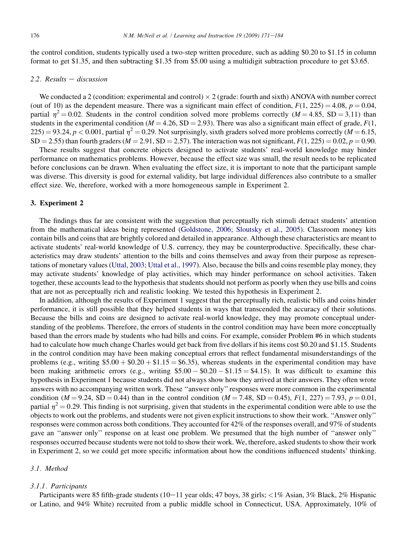the control condition, students typically used a two-step written procedure, such as adding \$0.20 to \$1.15 in column format to get \$1.35, and then subtracting \$1.35 from \$5.00 using a multidigit subtraction procedure to get \$3.65.

# $2.2.$  Results  $-$  discussion

We conducted a 2 (condition: experimental and control)  $\times$  2 (grade: fourth and sixth) ANOVA with number correct (out of 10) as the dependent measure. There was a significant main effect of condition,  $F(1, 225) = 4.08$ ,  $p = 0.04$ , partial  $\eta^2 = 0.02$ . Students in the control condition solved more problems correctly (M = 4.85, SD = 3.11) than students in the experimental condition ( $M = 4.26$ , SD = 2.93). There was also a significant main effect of grade,  $F(1, 1)$  $225$ ) = 93.24, p < 0.001, partial  $\eta^2$  = 0.29. Not surprisingly, sixth graders solved more problems correctly (M = 6.15,  $SD = 2.55$ ) than fourth graders ( $M = 2.91$ ,  $SD = 2.57$ ). The interaction was not significant,  $F(1, 225) = 0.02$ ,  $p = 0.90$ .

These results suggest that concrete objects designed to activate students' real-world knowledge may hinder performance on mathematics problems. However, because the effect size was small, the result needs to be replicated before conclusions can be drawn. When evaluating the effect size, it is important to note that the participant sample was diverse. This diversity is good for external validity, but large individual differences also contribute to a smaller effect size. We, therefore, worked with a more homogeneous sample in Experiment 2.

# 3. Experiment 2

The findings thus far are consistent with the suggestion that perceptually rich stimuli detract students' attention from the mathematical ideas being represented ([Goldstone, 2006; Sloutsky et al., 2005](#page-12-0)). Classroom money kits contain bills and coins that are brightly colored and detailed in appearance. Although these characteristics are meant to activate students' real-world knowledge of U.S. currency, they may be counterproductive. Specifically, these characteristics may draw students' attention to the bills and coins themselves and away from their purpose as representations of monetary values [\(Uttal, 2003;](#page-13-0) [Uttal et al., 1997\)](#page-13-0). Also, because the bills and coins resemble play money, they may activate students' knowledge of play activities, which may hinder performance on school activities. Taken together, these accounts lead to the hypothesis that students should not perform as poorly when they use bills and coins that are not as perceptually rich and realistic looking. We tested this hypothesis in Experiment 2.

In addition, although the results of Experiment 1 suggest that the perceptually rich, realistic bills and coins hinder performance, it is still possible that they helped students in ways that transcended the accuracy of their solutions. Because the bills and coins are designed to activate real-world knowledge, they may promote conceptual understanding of the problems. Therefore, the errors of students in the control condition may have been more conceptually based than the errors made by students who had bills and coins. For example, consider Problem #6 in which students had to calculate how much change Charles would get back from five dollars if his items cost \$0.20 and \$1.15. Students in the control condition may have been making conceptual errors that reflect fundamental misunderstandings of the problems (e.g., writing  $$5.00 + $0.20 + $1.15 = $6.35$ ), whereas students in the experimental condition may have been making arithmetic errors (e.g., writing  $$5.00 - $0.20 - $1.15 = $4.15$ ). It was difficult to examine this hypothesis in Experiment 1 because students did not always show how they arrived at their answers. They often wrote answers with no accompanying written work. These ''answer only'' responses were more common in the experimental condition ( $M = 9.24$ , SD = 0.44) than in the control condition ( $M = 7.48$ , SD = 0.45),  $F(1, 227) = 7.93$ ,  $p = 0.01$ , partial  $\eta^2 = 0.29$ . This finding is not surprising, given that students in the experimental condition were able to use the objects to work out the problems, and students were not given explicit instructions to show their work. ''Answer only'' responses were common across both conditions. They accounted for 42% of the responses overall, and 97% of students gave an ''answer only'' response on at least one problem. We presumed that the high number of ''answer only'' responses occurred because students were not told to show their work. We, therefore, asked students to show their work in Experiment 2, so we could get more specific information about how the conditions influenced students' thinking.

## 3.1. Method

#### 3.1.1. Participants

Participants were 85 fifth-grade students  $(10-11)$  year olds; 47 boys, 38 girls;  $\langle 1\%$  Asian, 3% Black, 2% Hispanic or Latino, and 94% White) recruited from a public middle school in Connecticut, USA. Approximately, 10% of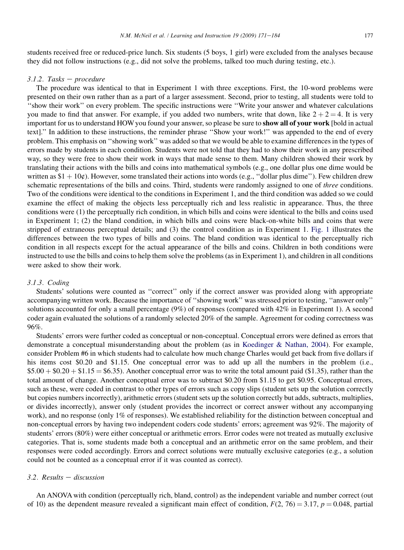students received free or reduced-price lunch. Six students (5 boys, 1 girl) were excluded from the analyses because they did not follow instructions (e.g., did not solve the problems, talked too much during testing, etc.).

## $3.1.2.$  Tasks - procedure

The procedure was identical to that in Experiment 1 with three exceptions. First, the 10-word problems were presented on their own rather than as a part of a larger assessment. Second, prior to testing, all students were told to ''show their work'' on every problem. The specific instructions were ''Write your answer and whatever calculations you made to find that answer. For example, if you added two numbers, write that down, like  $2 + 2 = 4$ . It is very important for us to understand HOW you found your answer, so please be sure to show all of your work [bold in actual text].'' In addition to these instructions, the reminder phrase ''Show your work!'' was appended to the end of every problem. This emphasis on ''showing work'' was added so that we would be able to examine differences in the types of errors made by students in each condition. Students were not told that they had to show their work in any prescribed way, so they were free to show their work in ways that made sense to them. Many children showed their work by translating their actions with the bills and coins into mathematical symbols (e.g., one dollar plus one dime would be written as  $$1 + 10¢$ ). However, some translated their actions into words (e.g., "dollar plus dime"). Few children drew schematic representations of the bills and coins. Third, students were randomly assigned to one of *three* conditions. Two of the conditions were identical to the conditions in Experiment 1, and the third condition was added so we could examine the effect of making the objects less perceptually rich and less realistic in appearance. Thus, the three conditions were (1) the perceptually rich condition, in which bills and coins were identical to the bills and coins used in Experiment 1; (2) the bland condition, in which bills and coins were black-on-white bills and coins that were stripped of extraneous perceptual details; and (3) the control condition as in Experiment 1. [Fig. 1](#page-4-0) illustrates the differences between the two types of bills and coins. The bland condition was identical to the perceptually rich condition in all respects except for the actual appearance of the bills and coins. Children in both conditions were instructed to use the bills and coins to help them solve the problems (as in Experiment 1), and children in all conditions were asked to show their work.

# 3.1.3. Coding

Students' solutions were counted as ''correct'' only if the correct answer was provided along with appropriate accompanying written work. Because the importance of ''showing work'' was stressed prior to testing, ''answer only'' solutions accounted for only a small percentage (9%) of responses (compared with 42% in Experiment 1). A second coder again evaluated the solutions of a randomly selected 20% of the sample. Agreement for coding correctness was 96%.

Students' errors were further coded as conceptual or non-conceptual. Conceptual errors were defined as errors that demonstrate a conceptual misunderstanding about the problem (as in [Koedinger & Nathan, 2004](#page-12-0)). For example, consider Problem #6 in which students had to calculate how much change Charles would get back from five dollars if his items cost \$0.20 and \$1.15. One conceptual error was to add up all the numbers in the problem (i.e.,  $$5.00 + $0.20 + $1.15 = $6.35$ . Another conceptual error was to write the total amount paid (\$1.35), rather than the total amount of change. Another conceptual error was to subtract \$0.20 from \$1.15 to get \$0.95. Conceptual errors, such as these, were coded in contrast to other types of errors such as copy slips (student sets up the solution correctly but copies numbers incorrectly), arithmetic errors (student sets up the solution correctly but adds, subtracts, multiplies, or divides incorrectly), answer only (student provides the incorrect or correct answer without any accompanying work), and no response (only 1% of responses). We established reliability for the distinction between conceptual and non-conceptual errors by having two independent coders code students' errors; agreement was 92%. The majority of students' errors (80%) were either conceptual or arithmetic errors. Error codes were not treated as mutually exclusive categories. That is, some students made both a conceptual and an arithmetic error on the same problem, and their responses were coded accordingly. Errors and correct solutions were mutually exclusive categories (e.g., a solution could not be counted as a conceptual error if it was counted as correct).

## $3.2.$  Results - discussion

An ANOVA with condition (perceptually rich, bland, control) as the independent variable and number correct (out of 10) as the dependent measure revealed a significant main effect of condition,  $F(2, 76) = 3.17$ ,  $p = 0.048$ , partial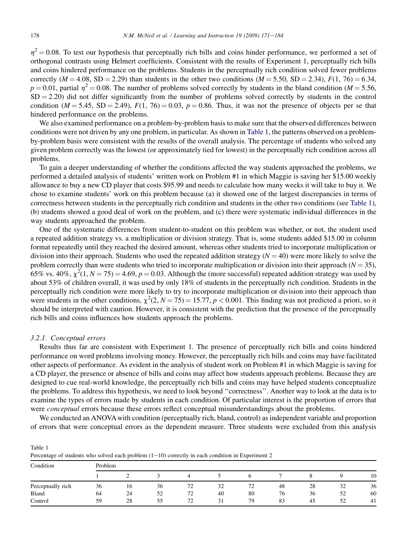<span id="page-7-0"></span> $n^2$  = 0.08. To test our hypothesis that perceptually rich bills and coins hinder performance, we performed a set of orthogonal contrasts using Helmert coefficients. Consistent with the results of Experiment 1, perceptually rich bills and coins hindered performance on the problems. Students in the perceptually rich condition solved fewer problems correctly ( $M = 4.08$ , SD = 2.29) than students in the other two conditions ( $M = 5.50$ , SD = 2.34),  $F(1, 76) = 6.34$ ,  $p = 0.01$ , partial  $\eta^2 = 0.08$ . The number of problems solved correctly by students in the bland condition (M = 5.56,  $SD = 2.20$ ) did not differ significantly from the number of problems solved correctly by students in the control condition ( $M = 5.45$ , SD = 2.49),  $F(1, 76) = 0.03$ ,  $p = 0.86$ . Thus, it was not the presence of objects per se that hindered performance on the problems.

We also examined performance on a problem-by-problem basis to make sure that the observed differences between conditions were not driven by any one problem, in particular. As shown in Table 1, the patterns observed on a problemby-problem basis were consistent with the results of the overall analysis. The percentage of students who solved any given problem correctly was the lowest (or approximately tied for lowest) in the perceptually rich condition across all problems.

To gain a deeper understanding of whether the conditions affected the way students approached the problems, we performed a detailed analysis of students' written work on Problem #1 in which Maggie is saving her \$15.00 weekly allowance to buy a new CD player that costs \$95.99 and needs to calculate how many weeks it will take to buy it. We chose to examine students' work on this problem because (a) it showed one of the largest discrepancies in terms of correctness between students in the perceptually rich condition and students in the other two conditions (see Table 1), (b) students showed a good deal of work on the problem, and (c) there were systematic individual differences in the way students approached the problem.

One of the systematic differences from student-to-student on this problem was whether, or not, the student used a repeated addition strategy vs. a multiplication or division strategy. That is, some students added \$15.00 in column format repeatedly until they reached the desired amount, whereas other students tried to incorporate multiplication or division into their approach. Students who used the repeated addition strategy  $(N = 40)$  were more likely to solve the problem correctly than were students who tried to incorporate multiplication or division into their approach  $(N = 35)$ , 65% vs. 40%,  $\chi^2(1, N = 75) = 4.69$ ,  $p = 0.03$ . Although the (more successful) repeated addition strategy was used by about 53% of children overall, it was used by only 18% of students in the perceptually rich condition. Students in the perceptually rich condition were more likely to try to incorporate multiplication or division into their approach than were students in the other conditions,  $\chi^2(2, N = 75) = 15.77$ ,  $p < 0.001$ . This finding was not predicted a priori, so it should be interpreted with caution. However, it is consistent with the prediction that the presence of the perceptually rich bills and coins influences how students approach the problems.

#### 3.2.1. Conceptual errors

Results thus far are consistent with Experiment 1. The presence of perceptually rich bills and coins hindered performance on word problems involving money. However, the perceptually rich bills and coins may have facilitated other aspects of performance. As evident in the analysis of student work on Problem #1 in which Maggie is saving for a CD player, the presence or absence of bills and coins may affect how students approach problems. Because they are designed to cue real-world knowledge, the perceptually rich bills and coins may have helped students conceptualize the problems. To address this hypothesis, we need to look beyond ''correctness''. Another way to look at the data is to examine the types of errors made by students in each condition. Of particular interest is the proportion of errors that were *conceptual* errors because these errors reflect conceptual misunderstandings about the problems.

We conducted an ANOVA with condition (perceptually rich, bland, control) as independent variable and proportion of errors that were conceptual errors as the dependent measure. Three students were excluded from this analysis

| Table 1                                                                                             |  |
|-----------------------------------------------------------------------------------------------------|--|
| Percentage of students who solved each problem $(1-10)$ correctly in each condition in Experiment 2 |  |

| Condition         | Problem |    |    |                  |    |                     |    |              |    |    |
|-------------------|---------|----|----|------------------|----|---------------------|----|--------------|----|----|
|                   |         |    |    |                  |    |                     |    |              |    | 10 |
| Perceptually rich | 36      | 16 | 36 | 72<br>7∠         | 32 | $\mathcal{L}$<br>72 | 48 | 28           | 32 | 36 |
| Bland             | 64      | 24 | 52 | 72<br>$\epsilon$ | 40 | 80                  | 76 | $\sim$<br>36 | 52 | 60 |
| Control           | 59      | 28 | 55 | 72               | 31 | 79                  | 83 | 45           | 52 | 41 |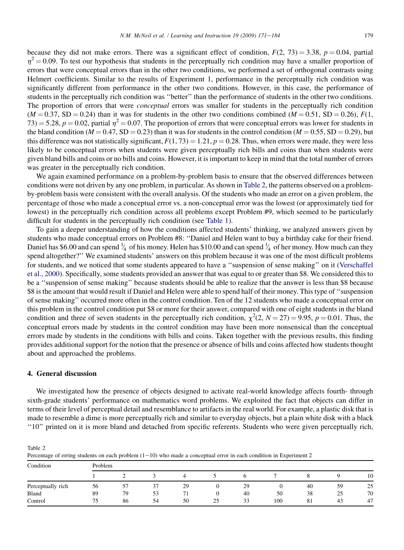because they did not make errors. There was a significant effect of condition,  $F(2, 73) = 3.38$ ,  $p = 0.04$ , partial  $\eta^2$  = 0.09. To test our hypothesis that students in the perceptually rich condition may have a smaller proportion of errors that were conceptual errors than in the other two conditions, we performed a set of orthogonal contrasts using Helmert coefficients. Similar to the results of Experiment 1, performance in the perceptually rich condition was significantly different from performance in the other two conditions. However, in this case, the performance of students in the perceptually rich condition was ''better'' than the performance of students in the other two conditions. The proportion of errors that were *conceptual* errors was smaller for students in the perceptually rich condition  $(M = 0.37, SD = 0.24)$  than it was for students in the other two conditions combined  $(M = 0.51, SD = 0.26)$ ,  $F(1,$ 73) = 5.28, p = 0.02, partial  $\eta^2$  = 0.07. The proportion of errors that were conceptual errors was lower for students in the bland condition ( $M = 0.47$ , SD = 0.23) than it was for students in the control condition ( $M = 0.55$ , SD = 0.29), but this difference was not statistically significant,  $F(1, 73) = 1.21$ ,  $p = 0.28$ . Thus, when errors were made, they were less likely to be conceptual errors when students were given perceptually rich bills and coins than when students were given bland bills and coins or no bills and coins. However, it is important to keep in mind that the total number of errors was greater in the perceptually rich condition.

We again examined performance on a problem-by-problem basis to ensure that the observed differences between conditions were not driven by any one problem, in particular. As shown in Table 2, the patterns observed on a problemby-problem basis were consistent with the overall analysis. Of the students who made an error on a given problem, the percentage of those who made a conceptual error vs. a non-conceptual error was the lowest (or approximately tied for lowest) in the perceptually rich condition across all problems except Problem #9, which seemed to be particularly difficult for students in the perceptually rich condition (see [Table 1](#page-7-0)).

To gain a deeper understanding of how the conditions affected students' thinking, we analyzed answers given by students who made conceptual errors on Problem #8: ''Daniel and Helen want to buy a birthday cake for their friend. Daniel has \$6.00 and can spend  $\frac{1}{4}$  of his money. Helen has \$10.00 and can spend  $\frac{1}{4}$  of her money. How much can they ⁄ ⁄ spend altogether?'' We examined students' answers on this problem because it was one of the most difficult problems for students, and we noticed that some students appeared to have a ''suspension of sense making'' on it ([Verschaffel](#page-13-0) [et al., 2000](#page-13-0)). Specifically, some students provided an answer that was equal to or greater than \$8. We considered this to be a ''suspension of sense making'' because students should be able to realize that the answer is less than \$8 because \$8 is the amount that would result if Daniel and Helen were able to spend half of their money. This type of ''suspension of sense making'' occurred more often in the control condition. Ten of the 12 students who made a conceptual error on this problem in the control condition put \$8 or more for their answer, compared with one of eight students in the bland condition and three of seven students in the perceptually rich condition,  $\chi^2(2, N = 27) = 9.95$ ,  $p = 0.01$ . Thus, the conceptual errors made by students in the control condition may have been more nonsensical than the conceptual errors made by students in the conditions with bills and coins. Taken together with the previous results, this finding provides additional support for the notion that the presence or absence of bills and coins affected how students thought about and approached the problems.

#### 4. General discussion

Table 2

We investigated how the presence of objects designed to activate real-world knowledge affects fourth- through sixth-grade students' performance on mathematics word problems. We exploited the fact that objects can differ in terms of their level of perceptual detail and resemblance to artifacts in the real world. For example, a plastic disk that is made to resemble a dime is more perceptually rich and similar to everyday objects, but a plain white disk with a black ''10'' printed on it is more bland and detached from specific referents. Students who were given perceptually rich,

| Percentage of erring students on each problem $(1-10)$ who made a conceptual error in each condition in Experiment 2 |         |    |    |    |  |    |     |     |    |    |  |
|----------------------------------------------------------------------------------------------------------------------|---------|----|----|----|--|----|-----|-----|----|----|--|
| Condition                                                                                                            | Problem |    |    |    |  |    |     |     |    |    |  |
|                                                                                                                      |         |    |    |    |  |    |     |     |    | 10 |  |
| Perceptually rich                                                                                                    | 56      |    |    | 29 |  | 29 |     | 40  | 59 | 25 |  |
| Bland                                                                                                                | 89      | 79 | 53 |    |  | 40 | 50  | 38  | 25 | 70 |  |
| Control                                                                                                              |         | 86 | 54 | 50 |  | 33 | 100 | -81 | 43 | 47 |  |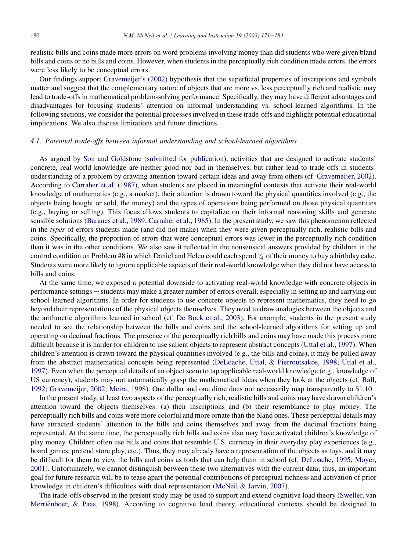realistic bills and coins made more errors on word problems involving money than did students who were given bland bills and coins or no bills and coins. However, when students in the perceptually rich condition made errors, the errors were less likely to be conceptual errors.

Our findings support [Gravemeijer's \(2002\)](#page-12-0) hypothesis that the superficial properties of inscriptions and symbols matter and suggest that the complementary nature of objects that are more vs. less perceptually rich and realistic may lead to trade-offs in mathematical problem-solving performance. Specifically, they may have different advantages and disadvantages for focusing students' attention on informal understanding vs. school-learned algorithms. In the following sections, we consider the potential processes involved in these trade-offs and highlight potential educational implications. We also discuss limitations and future directions.

# 4.1. Potential trade-offs between informal understanding and school-learned algorithms

As argued by [Son and Goldstone \(submitted for publication\)](#page-13-0), activities that are designed to activate students' concrete, real-world knowledge are neither good nor bad in themselves, but rather lead to trade-offs in students' understanding of a problem by drawing attention toward certain ideas and away from others (cf. [Gravemeijer, 2002\)](#page-12-0). According to [Carraher et al. \(1987\)](#page-12-0), when students are placed in meaningful contexts that activate their real-world knowledge of mathematics (e.g., a market), their attention is drawn toward the physical quantities involved (e.g., the objects being bought or sold, the money) and the types of operations being performed on those physical quantities (e.g., buying or selling). This focus allows students to capitalize on their informal reasoning skills and generate sensible solutions [\(Baranes et al., 1989; Carraher et al., 1985](#page-11-0)). In the present study, we saw this phenomenon reflected in the types of errors students made (and did not make) when they were given perceptually rich, realistic bills and coins. Specifically, the proportion of errors that were conceptual errors was lower in the perceptually rich condition than it was in the other conditions. We also saw it reflected in the nonsensical answers provided by children in the control condition on Problem #8 in which Daniel and Helen could each spend  $\frac{1}{4}$  of their money to buy a birthday cake. ⁄ Students were more likely to ignore applicable aspects of their real-world knowledge when they did not have access to bills and coins.

At the same time, we exposed a potential downside to activating real-world knowledge with concrete objects in performance settings e students may make a greater number of errors overall, especially in setting up and carrying out school-learned algorithms. In order for students to use concrete objects to represent mathematics, they need to go beyond their representations of the physical objects themselves. They need to draw analogies between the objects and the arithmetic algorithms learned in school (cf. [De Bock et al., 2003](#page-12-0)). For example, students in the present study needed to see the relationship between the bills and coins and the school-learned algorithms for setting up and operating on decimal fractions. The presence of the perceptually rich bills and coins may have made this process more difficult because it is harder for children to use salient objects to represent abstract concepts [\(Uttal et al., 1997](#page-13-0)). When children's attention is drawn toward the physical quantities involved (e.g., the bills and coins), it may be pulled away from the abstract mathematical concepts being represented ([DeLoache, Uttal, & Pierroutsakos, 1998; Uttal et al.,](#page-12-0) [1997](#page-12-0)). Even when the perceptual details of an object seem to tap applicable real-world knowledge (e.g., knowledge of US currency), students may not automatically grasp the mathematical ideas when they look at the objects (cf. [Ball,](#page-11-0) [1992; Gravemeijer, 2002; Meira, 1998\)](#page-11-0). One dollar and one dime does not necessarily map transparently to \$1.10.

In the present study, at least two aspects of the perceptually rich, realistic bills and coins may have drawn children's attention toward the objects themselves: (a) their inscriptions and (b) their resemblance to play money. The perceptually rich bills and coins were more colorful and more ornate than the bland ones. These perceptual details may have attracted students' attention to the bills and coins themselves and away from the decimal fractions being represented. At the same time, the perceptually rich bills and coins also may have activated children's knowledge of play money. Children often use bills and coins that resemble U.S. currency in their everyday play experiences (e.g., board games, pretend store play, etc.). Thus, they may already have a representation of the objects as toys, and it may be difficult for them to view the bills and coins as tools that can help them in school (cf. [DeLoache, 1995; Moyer,](#page-12-0) [2001](#page-12-0)). Unfortunately, we cannot distinguish between these two alternatives with the current data; thus, an important goal for future research will be to tease apart the potential contributions of perceptual richness and activation of prior knowledge in children's difficulties with dual representation [\(McNeil & Jarvin, 2007](#page-12-0)).

The trade-offs observed in the present study may be used to support and extend cognitive load theory [\(Sweller, van](#page-13-0) Merrienboer, & Paas, 1998). According to cognitive load theory, educational contexts should be designed to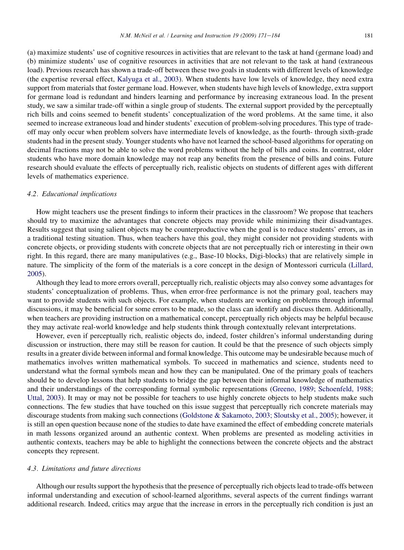(a) maximize students' use of cognitive resources in activities that are relevant to the task at hand (germane load) and (b) minimize students' use of cognitive resources in activities that are not relevant to the task at hand (extraneous load). Previous research has shown a trade-off between these two goals in students with different levels of knowledge (the expertise reversal effect, [Kalyuga et al., 2003](#page-12-0)). When students have low levels of knowledge, they need extra support from materials that foster germane load. However, when students have high levels of knowledge, extra support for germane load is redundant and hinders learning and performance by increasing extraneous load. In the present study, we saw a similar trade-off within a single group of students. The external support provided by the perceptually rich bills and coins seemed to benefit students' conceptualization of the word problems. At the same time, it also seemed to increase extraneous load and hinder students' execution of problem-solving procedures. This type of tradeoff may only occur when problem solvers have intermediate levels of knowledge, as the fourth- through sixth-grade students had in the present study. Younger students who have not learned the school-based algorithms for operating on decimal fractions may not be able to solve the word problems without the help of bills and coins. In contrast, older students who have more domain knowledge may not reap any benefits from the presence of bills and coins. Future research should evaluate the effects of perceptually rich, realistic objects on students of different ages with different levels of mathematics experience.

#### 4.2. Educational implications

How might teachers use the present findings to inform their practices in the classroom? We propose that teachers should try to maximize the advantages that concrete objects may provide while minimizing their disadvantages. Results suggest that using salient objects may be counterproductive when the goal is to reduce students' errors, as in a traditional testing situation. Thus, when teachers have this goal, they might consider not providing students with concrete objects, or providing students with concrete objects that are not perceptually rich or interesting in their own right. In this regard, there are many manipulatives (e.g., Base-10 blocks, Digi-blocks) that are relatively simple in nature. The simplicity of the form of the materials is a core concept in the design of Montessori curricula [\(Lillard,](#page-12-0) [2005\)](#page-12-0).

Although they lead to more errors overall, perceptually rich, realistic objects may also convey some advantages for students' conceptualization of problems. Thus, when error-free performance is not the primary goal, teachers may want to provide students with such objects. For example, when students are working on problems through informal discussions, it may be beneficial for some errors to be made, so the class can identify and discuss them. Additionally, when teachers are providing instruction on a mathematical concept, perceptually rich objects may be helpful because they may activate real-world knowledge and help students think through contextually relevant interpretations.

However, even if perceptually rich, realistic objects do, indeed, foster children's informal understanding during discussion or instruction, there may still be reason for caution. It could be that the presence of such objects simply results in a greater divide between informal and formal knowledge. This outcome may be undesirable because much of mathematics involves written mathematical symbols. To succeed in mathematics and science, students need to understand what the formal symbols mean and how they can be manipulated. One of the primary goals of teachers should be to develop lessons that help students to bridge the gap between their informal knowledge of mathematics and their understandings of the corresponding formal symbolic representations [\(Greeno, 1989; Schoenfeld, 1988;](#page-12-0) [Uttal, 2003](#page-12-0)). It may or may not be possible for teachers to use highly concrete objects to help students make such connections. The few studies that have touched on this issue suggest that perceptually rich concrete materials may discourage students from making such connections ([Goldstone & Sakamoto, 2003; Sloutsky et al., 2005\)](#page-12-0); however, it is still an open question because none of the studies to date have examined the effect of embedding concrete materials in math lessons organized around an authentic context. When problems are presented as modeling activities in authentic contexts, teachers may be able to highlight the connections between the concrete objects and the abstract concepts they represent.

#### 4.3. Limitations and future directions

Although our results support the hypothesis that the presence of perceptually rich objects lead to trade-offs between informal understanding and execution of school-learned algorithms, several aspects of the current findings warrant additional research. Indeed, critics may argue that the increase in errors in the perceptually rich condition is just an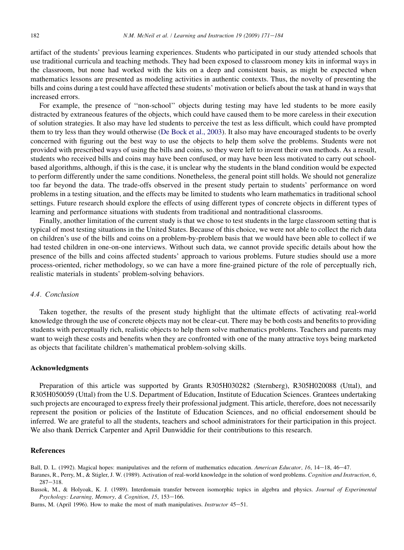<span id="page-11-0"></span>artifact of the students' previous learning experiences. Students who participated in our study attended schools that use traditional curricula and teaching methods. They had been exposed to classroom money kits in informal ways in the classroom, but none had worked with the kits on a deep and consistent basis, as might be expected when mathematics lessons are presented as modeling activities in authentic contexts. Thus, the novelty of presenting the bills and coins during a test could have affected these students' motivation or beliefs about the task at hand in ways that increased errors.

For example, the presence of ''non-school'' objects during testing may have led students to be more easily distracted by extraneous features of the objects, which could have caused them to be more careless in their execution of solution strategies. It also may have led students to perceive the test as less difficult, which could have prompted them to try less than they would otherwise ([De Bock et al., 2003](#page-12-0)). It also may have encouraged students to be overly concerned with figuring out the best way to use the objects to help them solve the problems. Students were not provided with prescribed ways of using the bills and coins, so they were left to invent their own methods. As a result, students who received bills and coins may have been confused, or may have been less motivated to carry out schoolbased algorithms, although, if this is the case, it is unclear why the students in the bland condition would be expected to perform differently under the same conditions. Nonetheless, the general point still holds. We should not generalize too far beyond the data. The trade-offs observed in the present study pertain to students' performance on word problems in a testing situation, and the effects may be limited to students who learn mathematics in traditional school settings. Future research should explore the effects of using different types of concrete objects in different types of learning and performance situations with students from traditional and nontraditional classrooms.

Finally, another limitation of the current study is that we chose to test students in the large classroom setting that is typical of most testing situations in the United States. Because of this choice, we were not able to collect the rich data on children's use of the bills and coins on a problem-by-problem basis that we would have been able to collect if we had tested children in one-on-one interviews. Without such data, we cannot provide specific details about how the presence of the bills and coins affected students' approach to various problems. Future studies should use a more process-oriented, richer methodology, so we can have a more fine-grained picture of the role of perceptually rich, realistic materials in students' problem-solving behaviors.

#### 4.4. Conclusion

Taken together, the results of the present study highlight that the ultimate effects of activating real-world knowledge through the use of concrete objects may not be clear-cut. There may be both costs and benefits to providing students with perceptually rich, realistic objects to help them solve mathematics problems. Teachers and parents may want to weigh these costs and benefits when they are confronted with one of the many attractive toys being marketed as objects that facilitate children's mathematical problem-solving skills.

#### Acknowledgments

Preparation of this article was supported by Grants R305H030282 (Sternberg), R305H020088 (Uttal), and R305H050059 (Uttal) from the U.S. Department of Education, Institute of Education Sciences. Grantees undertaking such projects are encouraged to express freely their professional judgment. This article, therefore, does not necessarily represent the position or policies of the Institute of Education Sciences, and no official endorsement should be inferred. We are grateful to all the students, teachers and school administrators for their participation in this project. We also thank Derrick Carpenter and April Dunwiddie for their contributions to this research.

#### References

Ball, D. L. (1992). Magical hopes: manipulatives and the reform of mathematics education. American Educator, 16, 14–18, 46–47.

Baranes, R., Perry, M., & Stigler, J. W. (1989). Activation of real-world knowledge in the solution of word problems. Cognition and Instruction, 6,  $287 - 318$ .

Bassok, M., & Holyoak, K. J. (1989). Interdomain transfer between isomorphic topics in algebra and physics. Journal of Experimental Psychology: Learning, Memory, & Cognition, 15, 153-166.

Burns, M. (April 1996). How to make the most of math manipulatives. *Instructor* 45–51.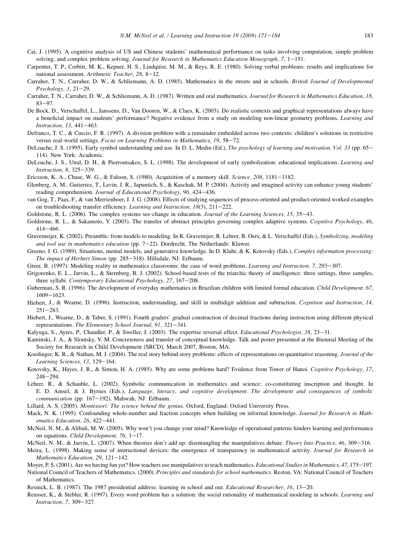- <span id="page-12-0"></span>Cai, J. (1995). A cognitive analysis of US and Chinese students' mathematical performance on tasks involving computation, simple problem solving, and complex problem solving. Journal for Research in Mathematics Education Monograph, 7, 1–151.
- Carpenter, T. P., Corbitt, M. K., Kepner, H. S., Lindquist, M. M., & Reys, R. E. (1980). Solving verbal problems: results and implications for national assessment. Arithmetic Teacher,  $28$ ,  $8-12$ .
- Carraher, T. N., Carraher, D. W., & Schliemann, A. D. (1985). Mathematics in the streets and in schools. British Journal of Developmental  $Psychology, 3, 21–29.$
- Carraher, T. N., Carraher, D. W., & Schliemann, A. D. (1987). Written and oral mathematics. Journal for Research in Mathematics Education, 18,  $83 - 97$
- De Bock, D., Verschaffel, L., Janssens, D., Van Dooren, W., & Claes, K. (2003). Do realistic contexts and graphical representations always have a beneficial impact on students' performance? Negative evidence from a study on modeling non-linear geometry problems. Learning and Instruction, 13, 441-463.
- Defranco, T. C., & Curcio, F. R. (1997). A division problem with a remainder embedded across two contexts: children's solutions in restrictive versus real-world settings. Focus on Learning Problems in Mathematics, 19, 58-72.
- DeLoache, J. S. (1995). Early symbol understanding and use. In D. L. Medin (Ed.), The psychology of learning and motivation, Vol. 33 (pp. 65– 114). New York: Academic.
- DeLoache, J. S., Uttal, D. H., & Pierroutsakos, S. L. (1998). The development of early symbolization: educational implications. Learning and Instruction, 8, 325-339.
- Ericsson, K. A., Chase, W. G., & Faloon, S. (1980). Acquisition of a memory skill. Science, 208, 1181-1182.
- Glenberg, A. M., Gutierrez, T., Levin, J. R., Japuntich, S., & Kaschak, M. P. (2004). Activity and imagined activity can enhance young students' reading comprehension. Journal of Educational Psychology, 96, 424-436.
- van Gog, T., Paas, F., & van Merrienboer, J. J. G. (2008). Effects of studying sequences of process-oriented and product-oriented worked examples on troubleshooting transfer efficiency. Learning and Instruction,  $18(3)$ ,  $211-222$ .
- Goldstone, R. L. (2006). The complex systems see-change in education. Journal of the Learning Sciences, 15, 35–43.
- Goldstone, R. L., & Sakamoto, Y. (2003). The transfer of abstract principles governing complex adaptive systems. Cognitive Psychology, 46,  $414 - 466.$
- Gravemeijer, K. (2002). Preamble: from models to modeling. In K. Gravemijer, R. Lehrer, B. Oers, & L. Verschaffel (Eds.), Symbolizing, modeling and tool use in mathematics education (pp.  $7-22$ ). Dordrecht, The Netherlands: Kluwer.
- Greeno, J. G. (1989). Situations, mental models, and generative knowledge. In D. Klahr, & K. Kotovsky (Eds.), Complex information processing: The impact of Herbert Simon (pp. 285-318). Hillsdale, NJ: Erlbaum.
- Greer, B. (1997). Modeling reality in mathematics classrooms: the case of word problems. Learning and Instruction, 7, 293–307.
- Grigorenko, E. L., Jarvin, L., & Sternberg, R. J. (2002). School-based tests of the triarchic theory of intelligence: three settings, three samples, three syllabi. Contemporary Educational Psychology, 27, 167-208.
- Guberman, S. R. (1996). The development of everyday mathematics in Brazilian children with limited formal education. Child Development, 67, 1609-1623.
- Hiebert, J., & Wearne, D. (1996). Instruction, understanding, and skill in multidigit addition and subtraction. Cognition and Instruction, 14,  $251 - 283$ .
- Hiebert, J., Wearne, D., & Taber, S. (1991). Fourth graders' gradual construction of decimal fractions during instruction using different physical representations. The Elementary School Journal, 91, 321-341.
- Kalyuga, S., Ayres, P., Chandler, P., & Sweller, J. (2003). The expertise reversal effect. Educational Psychologist, 38, 23-31.
- Kaminski, J. A., & Sloutsky, V. M. Concreteness and transfer of conceptual knowledge. Talk and poster presented at the Biennial Meeting of the Society for Research in Child Development (SRCD), March 2007, Boston, MA.
- Koedinger, K. R., & Nathan, M. J. (2004). The real story behind story problems: effects of representations on quantitative reasoning. Journal of the Learning Sciences, 13, 129-164.
- Kotovsky, K., Hayes, J. R., & Simon, H. A. (1985). Why are some problems hard? Evidence from Tower of Hanoi. Cognitive Psychology, 17,  $248 - 294.$
- Lehrer, R., & Schauble, L. (2002). Symbolic communication in mathematics and science: co-constituting inscription and thought. In E. D. Amsel, & J. Byrnes (Eds.), Language, literacy, and cognitive development. The development and consequences of symbolic communication (pp. 167-192). Mahwah, NJ: Erlbaum.
- Lillard, A. S. (2005). Montessori: The science behind the genius. Oxford, England: Oxford University Press.
- Mack, N. K. (1995). Confounding whole-number and fraction concepts when building on informal knowledge. Journal for Research in Mathematics Education, 26, 422-441.
- McNeil, N. M., & Alibali, M. W. (2005). Why won't you change your mind? Knowledge of operational patterns hinders learning and performance on equations. Child Development, 76,  $1-17$ .
- McNeil, N. M., & Jarvin, L. (2007). When theories don't add up: disentangling the manipulatives debate. Theory Into Practice, 46, 309-316.
- Meira, L. (1998). Making sense of instructional devices: the emergence of transparency in mathematical activity. Journal for Research in Mathematics Education, 29, 121-142.
- Moyer, P. S. (2001). Are we having fun yet? How teachers use manipulatives to teach mathematics. Educational Studies in Mathematics, 47, 175–197.
- National Council of Teachers of Mathematics. (2000). Principles and standards for school mathematics. Reston, VA: National Council of Teachers of Mathematics.
- Resnick, L. B. (1987). The 1987 presidential address: learning in school and out. Educational Researcher, 16, 13–20.
- Reusser, K., & Stebler, R. (1997). Every word problem has a solution: the social rationality of mathematical modeling in schools. Learning and Instruction, 7, 309-327.